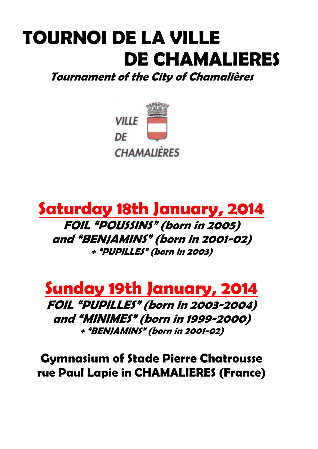# **TOURNOI DE LA VILLE DE CHAMALIERES**

**Tournament of the City of Chamalières** 



# **Saturday 18th January, 2014 FOIL "POUSSINS" (born in 2005) and "BENJAMINS" (born in 2001-02) <sup>+</sup>"PUPILLES" (born in 2003)**



**FOIL "PUPILLES" (born in 2003-2004) and "MINIMES" (born in 1999-2000) <sup>+</sup>"BENJAMINS" (born in 2001-02)** 

**Gymnasium of Stade Pierre Chatrousse rue Paul Lapie in CHAMALIERES (France)**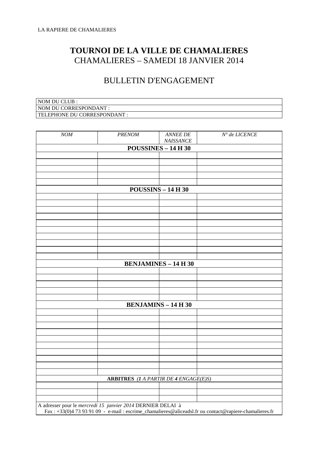## **TOURNOI DE LA VILLE DE CHAMALIERES**  CHAMALIERES – SAMEDI 18 JANVIER 2014

#### BULLETIN D'ENGAGEMENT

| NOM DU CLUB :                |
|------------------------------|
| NOM DU CORRESPONDANT :       |
| TELEPHONE DU CORRESPONDANT : |

| NOM | <b>PRENOM</b>                                               | ANNEE DE<br>NAISSANCE                        | $N^{\circ}$ de LICENCE                                                                                |
|-----|-------------------------------------------------------------|----------------------------------------------|-------------------------------------------------------------------------------------------------------|
|     |                                                             | <b>POUSSINES - 14 H 30</b>                   |                                                                                                       |
|     |                                                             |                                              |                                                                                                       |
|     |                                                             |                                              |                                                                                                       |
|     |                                                             |                                              |                                                                                                       |
|     |                                                             |                                              |                                                                                                       |
|     |                                                             | $POUSSINS - 14 H 30$                         |                                                                                                       |
|     |                                                             |                                              |                                                                                                       |
|     |                                                             |                                              |                                                                                                       |
|     |                                                             |                                              |                                                                                                       |
|     |                                                             |                                              |                                                                                                       |
|     |                                                             |                                              |                                                                                                       |
|     |                                                             |                                              |                                                                                                       |
|     |                                                             |                                              |                                                                                                       |
|     |                                                             |                                              |                                                                                                       |
|     |                                                             | <b>BENJAMINES - 14 H 30</b>                  |                                                                                                       |
|     |                                                             |                                              |                                                                                                       |
|     |                                                             |                                              |                                                                                                       |
|     |                                                             |                                              |                                                                                                       |
|     |                                                             |                                              |                                                                                                       |
|     |                                                             | <b>BENJAMINS - 14 H 30</b>                   |                                                                                                       |
|     |                                                             |                                              |                                                                                                       |
|     |                                                             |                                              |                                                                                                       |
|     |                                                             |                                              |                                                                                                       |
|     |                                                             |                                              |                                                                                                       |
|     |                                                             |                                              |                                                                                                       |
|     |                                                             |                                              |                                                                                                       |
|     |                                                             |                                              |                                                                                                       |
|     |                                                             |                                              |                                                                                                       |
|     |                                                             | <b>ARBITRES</b> (1 A PARTIR DE 4 ENGAGE(E)S) |                                                                                                       |
|     |                                                             |                                              |                                                                                                       |
|     |                                                             |                                              |                                                                                                       |
|     |                                                             |                                              |                                                                                                       |
|     | A adresser pour le mercredi 15 janvier 2014 DERNIER DELAI à |                                              | Fax: +33(0)4 73 93 91 09 - e-mail: escrime_chamalieres@aliceadsl.fr ou contact@rapiere-chamalieres.fr |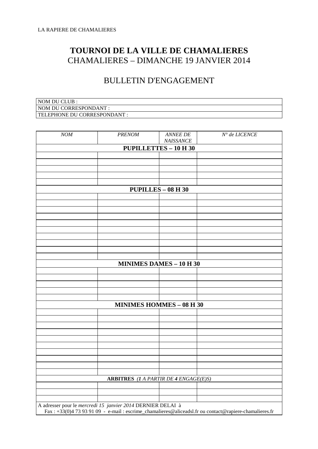## **TOURNOI DE LA VILLE DE CHAMALIERES**  CHAMALIERES – DIMANCHE 19 JANVIER 2014

### BULLETIN D'ENGAGEMENT

| NOM DU CLUB :                |
|------------------------------|
| NOM DU CORRESPONDANT :       |
| TELEPHONE DU CORRESPONDANT : |

| NOM | <b>PRENOM</b>                                               | ANNEE DE<br>NAISSANCE                        | $N^{\circ}$ de LICENCE |
|-----|-------------------------------------------------------------|----------------------------------------------|------------------------|
|     |                                                             | <b>PUPILLETTES - 10 H 30</b>                 |                        |
|     |                                                             |                                              |                        |
|     |                                                             |                                              |                        |
|     |                                                             |                                              |                        |
|     |                                                             |                                              |                        |
|     |                                                             | <b>PUPILLES - 08 H 30</b>                    |                        |
|     |                                                             |                                              |                        |
|     |                                                             |                                              |                        |
|     |                                                             |                                              |                        |
|     |                                                             |                                              |                        |
|     |                                                             |                                              |                        |
|     |                                                             |                                              |                        |
|     |                                                             |                                              |                        |
|     |                                                             |                                              |                        |
|     |                                                             | <b>MINIMES DAMES - 10 H 30</b>               |                        |
|     |                                                             |                                              |                        |
|     |                                                             |                                              |                        |
|     |                                                             |                                              |                        |
|     |                                                             |                                              |                        |
|     |                                                             | <b>MINIMES HOMMES - 08 H 30</b>              |                        |
|     |                                                             |                                              |                        |
|     |                                                             |                                              |                        |
|     |                                                             |                                              |                        |
|     |                                                             |                                              |                        |
|     |                                                             |                                              |                        |
|     |                                                             |                                              |                        |
|     |                                                             |                                              |                        |
|     |                                                             |                                              |                        |
|     |                                                             | <b>ARBITRES</b> (1 A PARTIR DE 4 ENGAGE(E)S) |                        |
|     |                                                             |                                              |                        |
|     |                                                             |                                              |                        |
|     | A adresser pour le mercredi 15 janvier 2014 DERNIER DELAI à |                                              |                        |